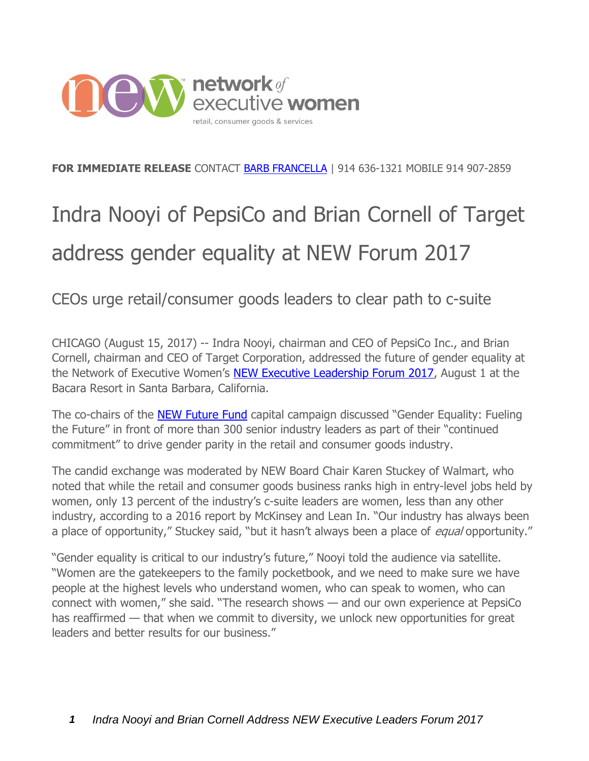

## **FOR IMMEDIATE RELEASE** CONTACT [BARB FRANCELLA](http://bfrancella@newonline.org) | 914 636-1321 MOBILE 914 907-2859

## Indra Nooyi of PepsiCo and Brian Cornell of Target address gender equality at NEW Forum 2017

CEOs urge retail/consumer goods leaders to clear path to c-suite

CHICAGO (August 15, 2017) -- Indra Nooyi, chairman and CEO of PepsiCo Inc., and Brian Cornell, chairman and CEO of Target Corporation, addressed the future of gender equality at the Network of Executive Women's [NEW Executive Leadership Forum 2017,](http://2017.newexecutiveforum.com/forum-live) August 1 at the Bacara Resort in Santa Barbara, California.

The co-chairs of the [NEW Future Fund](http://www.ournewfuture.org/) capital campaign discussed "Gender Equality: Fueling the Future" in front of more than 300 senior industry leaders as part of their "continued commitment" to drive gender parity in the retail and consumer goods industry.

The candid exchange was moderated by NEW Board Chair Karen Stuckey of Walmart, who noted that while the retail and consumer goods business ranks high in entry-level jobs held by women, only 13 percent of the industry's c-suite leaders are women, less than any other industry, according to a 2016 report by McKinsey and Lean In. "Our industry has always been a place of opportunity," Stuckey said, "but it hasn't always been a place of *equal* opportunity."

"Gender equality is critical to our industry's future," Nooyi told the audience via satellite. "Women are the gatekeepers to the family pocketbook, and we need to make sure we have people at the highest levels who understand women, who can speak to women, who can connect with women," she said. "The research shows — and our own experience at PepsiCo has reaffirmed — that when we commit to diversity, we unlock new opportunities for great leaders and better results for our business."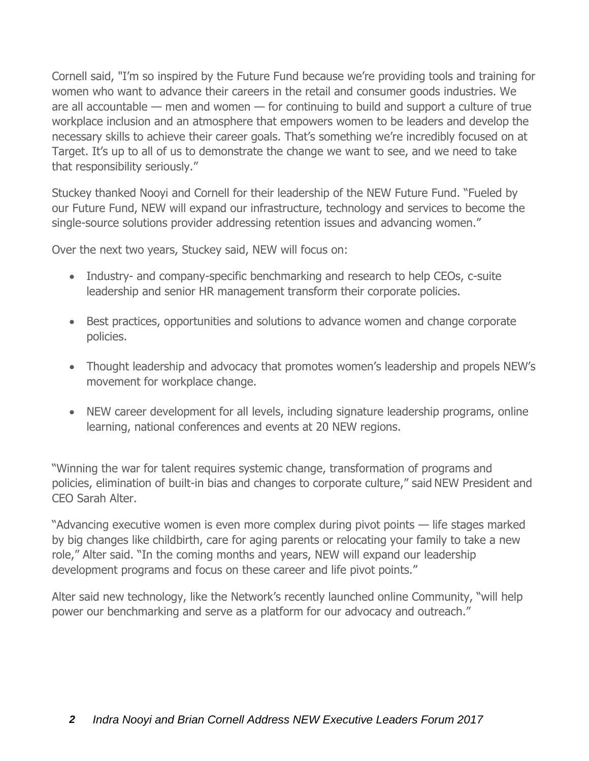Cornell said, "I'm so inspired by the Future Fund because we're providing tools and training for women who want to advance their careers in the retail and consumer goods industries. We are all accountable — men and women — for continuing to build and support a culture of true workplace inclusion and an atmosphere that empowers women to be leaders and develop the necessary skills to achieve their career goals. That's something we're incredibly focused on at Target. It's up to all of us to demonstrate the change we want to see, and we need to take that responsibility seriously."

Stuckey thanked Nooyi and Cornell for their leadership of the NEW Future Fund. "Fueled by our Future Fund, NEW will expand our infrastructure, technology and services to become the single-source solutions provider addressing retention issues and advancing women."

Over the next two years, Stuckey said, NEW will focus on:

- Industry- and company-specific benchmarking and research to help CEOs, c-suite leadership and senior HR management transform their corporate policies.
- Best practices, opportunities and solutions to advance women and change corporate policies.
- Thought leadership and advocacy that promotes women's leadership and propels NEW's movement for workplace change.
- NEW career development for all levels, including signature leadership programs, online learning, national conferences and events at 20 NEW regions.

"Winning the war for talent requires systemic change, transformation of programs and policies, elimination of built-in bias and changes to corporate culture," said NEW President and CEO Sarah Alter.

"Advancing executive women is even more complex during pivot points — life stages marked by big changes like childbirth, care for aging parents or relocating your family to take a new role," Alter said. "In the coming months and years, NEW will expand our leadership development programs and focus on these career and life pivot points."

Alter said new technology, like the Network's recently launched online Community, "will help power our benchmarking and serve as a platform for our advocacy and outreach."